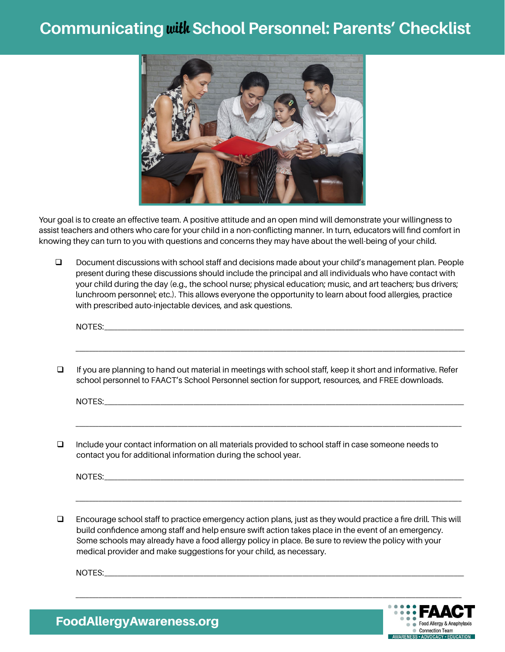## **Communicating**with**School Personnel: Parents' Checklist**



Your goal is to create an effective team. A positive attitude and an open mind will demonstrate your willingness to assist teachers and others who care for your child in a non-conflicting manner. In turn, educators will find comfort in knowing they can turn to you with questions and concerns they may have about the well-being of your child.

D Document discussions with school staff and decisions made about your child's management plan. People present during these discussions should include the principal and all individuals who have contact with your child during the day (e.g., the school nurse; physical education; music, and art teachers; bus drivers; lunchroom personnel; etc.). This allows everyone the opportunity to learn about food allergies, practice with prescribed auto-injectable devices, and ask questions.

NOTES: where  $\blacksquare$  \_\_\_\_\_\_\_\_\_\_\_\_\_\_\_\_\_\_\_\_\_\_\_\_\_\_\_\_\_\_\_\_\_\_\_\_\_\_\_\_\_\_\_\_\_\_\_\_\_\_\_\_\_\_\_\_\_\_\_\_\_\_\_\_\_\_\_\_\_\_\_\_\_\_\_\_\_\_\_\_\_\_\_\_\_\_\_\_\_\_\_\_\_\_\_\_\_\_\_\_\_\_\_\_\_\_\_\_\_\_\_\_\_\_\_\_\_\_  $\Box$  If you are planning to hand out material in meetings with school staff, keep it short and informative. Refer school personnel to FAACT's School Personnel section for support, resources, and FREE downloads. NOTES:\_\_\_\_\_\_\_\_\_\_\_\_\_\_\_\_\_\_\_\_\_\_\_\_\_\_\_\_\_\_\_\_\_\_\_\_\_\_\_\_\_\_\_\_\_\_\_\_\_\_\_\_\_\_\_\_\_\_\_\_\_\_\_\_\_\_\_\_\_\_\_\_\_\_\_\_\_\_\_\_\_\_\_\_\_\_\_\_\_\_\_\_\_\_\_\_\_\_\_\_\_\_\_\_\_\_\_\_\_ \_\_\_\_\_\_\_\_\_\_\_\_\_\_\_\_\_\_\_\_\_\_\_\_\_\_\_\_\_\_\_\_\_\_\_\_\_\_\_\_\_\_\_\_\_\_\_\_\_\_\_\_\_\_\_\_\_\_\_\_\_\_\_\_\_\_\_\_\_\_\_\_\_\_\_\_\_\_\_\_\_\_\_\_\_\_\_\_\_\_\_\_\_\_\_\_\_\_\_\_\_\_\_\_\_\_\_\_\_\_\_\_\_\_\_\_\_  $\Box$  Include your contact information on all materials provided to school staff in case someone needs to contact you for additional information during the school year.

NOTES: where the set of the set of the set of the set of the set of the set of the set of the set of the set of the set of the set of the set of the set of the set of the set of the set of the set of the set of the set of

 $\Box$  Encourage school staff to practice emergency action plans, just as they would practice a fire drill. This will build confidence among staff and help ensure swift action takes place in the event of an emergency. Some schools may already have a food allergy policy in place. Be sure to review the policy with your medical provider and make suggestions for your child, as necessary.

\_\_\_\_\_\_\_\_\_\_\_\_\_\_\_\_\_\_\_\_\_\_\_\_\_\_\_\_\_\_\_\_\_\_\_\_\_\_\_\_\_\_\_\_\_\_\_\_\_\_\_\_\_\_\_\_\_\_\_\_\_\_\_\_\_\_\_\_\_\_\_\_\_\_\_\_\_\_\_\_\_\_\_\_\_\_\_\_\_\_\_\_\_\_\_\_\_\_\_\_\_\_\_\_\_\_\_\_\_\_\_\_\_\_\_\_\_

 $\text{NOTES:}\quad \textcolor{red}{\text{NOTES:}}$ 



FoodAllergyAwareness.org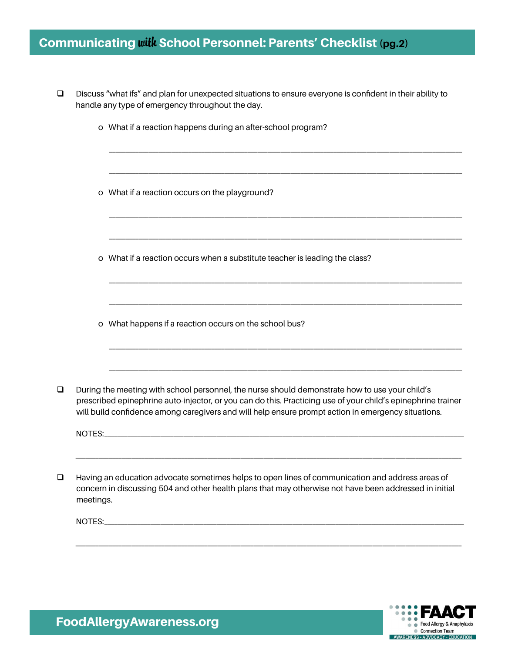## Communicating with School Personnel: Parents' Checklist (pg.2)

|           | Discuss "what ifs" and plan for unexpected situations to ensure everyone is confident in their ability to<br>handle any type of emergency throughout the day.                                                                                                                                                        |  |
|-----------|----------------------------------------------------------------------------------------------------------------------------------------------------------------------------------------------------------------------------------------------------------------------------------------------------------------------|--|
|           | o What if a reaction happens during an after-school program?                                                                                                                                                                                                                                                         |  |
|           | o What if a reaction occurs on the playground?                                                                                                                                                                                                                                                                       |  |
|           | o What if a reaction occurs when a substitute teacher is leading the class?                                                                                                                                                                                                                                          |  |
|           | o What happens if a reaction occurs on the school bus?                                                                                                                                                                                                                                                               |  |
| NOTES:    | During the meeting with school personnel, the nurse should demonstrate how to use your child's<br>prescribed epinephrine auto-injector, or you can do this. Practicing use of your child's epinephrine trainer<br>will build confidence among caregivers and will help ensure prompt action in emergency situations. |  |
| meetings. | Having an education advocate sometimes helps to open lines of communication and address areas of<br>concern in discussing 504 and other health plans that may otherwise not have been addressed in initial                                                                                                           |  |
|           |                                                                                                                                                                                                                                                                                                                      |  |
|           |                                                                                                                                                                                                                                                                                                                      |  |



FoodAllergyAwareness.org